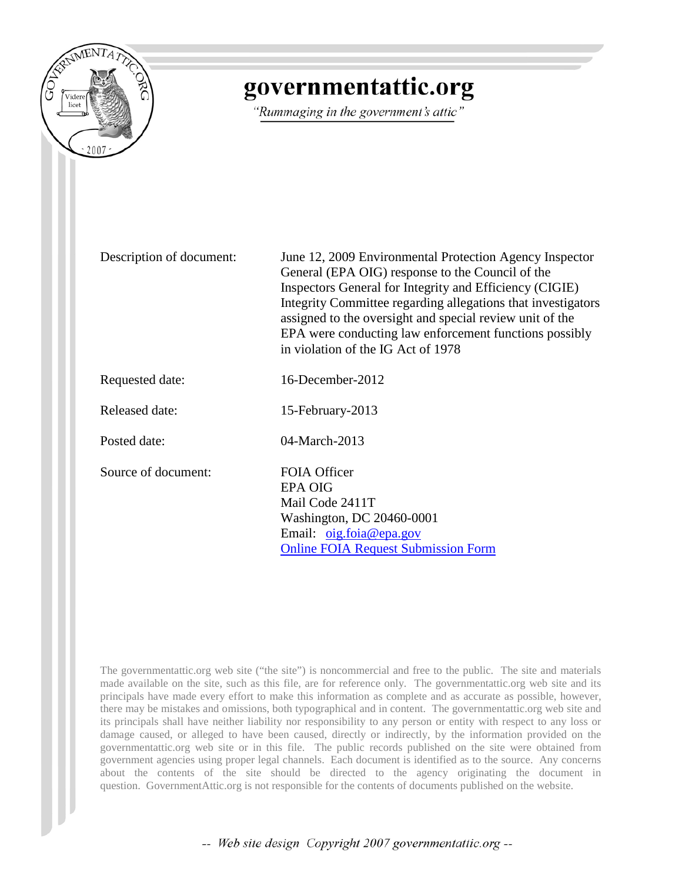

# governmentattic.org

"Rummaging in the government's attic"

Description of document: June 12, 2009 Environmental Protection Agency Inspector General (EPA OIG) response to the Council of the Inspectors General for Integrity and Efficiency (CIGIE) Integrity Committee regarding allegations that investigators assigned to the oversight and special review unit of the EPA were conducting law enforcement functions possibly in violation of the IG Act of 1978 Requested date: 16-December-2012 Released date: 15-February-2013 Posted date: 04-March-2013 Source of document: FOIA Officer EPA OIG Mail Code 2411T Washington, DC 20460-0001 Email: [oig.foia@epa.gov](mailto:oig.foia@epa.gov) [Online FOIA Request Submission Form](http://www.epa.gov/oig/contact.html#FOIA)

The governmentattic.org web site ("the site") is noncommercial and free to the public. The site and materials made available on the site, such as this file, are for reference only. The governmentattic.org web site and its principals have made every effort to make this information as complete and as accurate as possible, however, there may be mistakes and omissions, both typographical and in content. The governmentattic.org web site and its principals shall have neither liability nor responsibility to any person or entity with respect to any loss or damage caused, or alleged to have been caused, directly or indirectly, by the information provided on the governmentattic.org web site or in this file. The public records published on the site were obtained from government agencies using proper legal channels. Each document is identified as to the source. Any concerns about the contents of the site should be directed to the agency originating the document in question. GovernmentAttic.org is not responsible for the contents of documents published on the website.

-- Web site design Copyright 2007 governmentattic.org --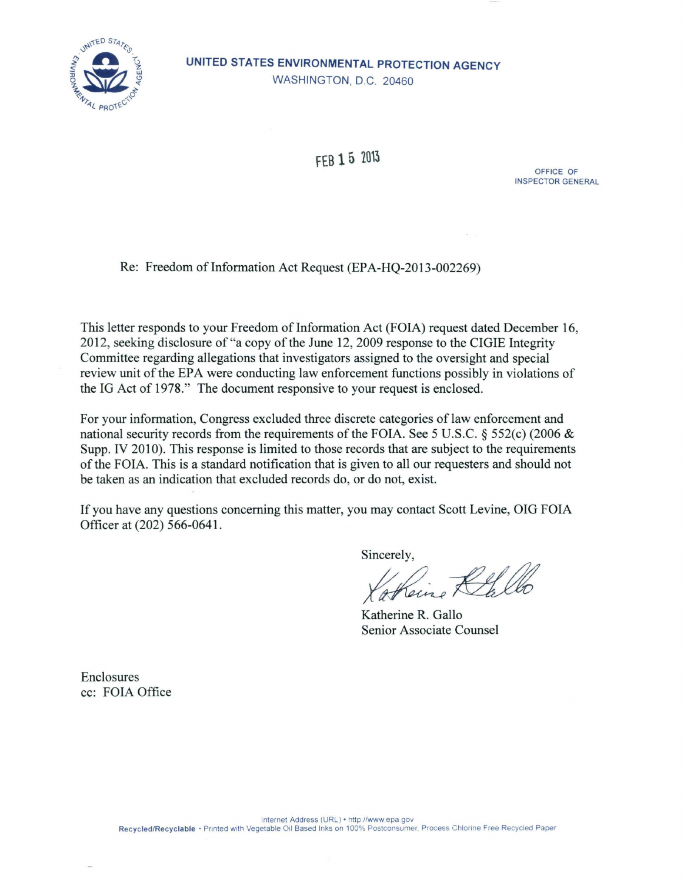

# UNITED STATES ENVIRONMENTAL PROTECTION AGENCY WASHINGTON, D.C. 20460

FEB 1 5 2013

OFFICE OF INSPECTOR GENERAL

Re: Freedom of Information Act Request (EPA-HO-2013-002269)

This letter responds to your Freedom of Information Act (FOIA) request dated December 16, 2012, seeking disclosure of "a copy of the June 12, 2009 response to the CIGIE Integrity Committee regarding allegations that investigators assigned to the oversight and special review unit of the EPA were conducting law enforcement functions possibly in violations of the IG Act of 1978." The document responsive to your request is enclosed.

For your information, Congress excluded three discrete categories of law enforcement and national security records from the requirements of the FOIA. See 5 U.S.C. § 552(c) (2006 & Supp. IV 2010). This response is limited to those records that are subject to the requirements of the FOIA. This is a standard notification that is given to all our requesters and should not be taken as an indication that excluded records do, or do not, exist.

If you have any questions concerning this matter, you may contact Scott Levine, OIG FOIA Officer at (202) 566-0641.

Sincerely,

Katherine R. Gallo Senior Associate Counsel

Enclosures cc: FOIA Office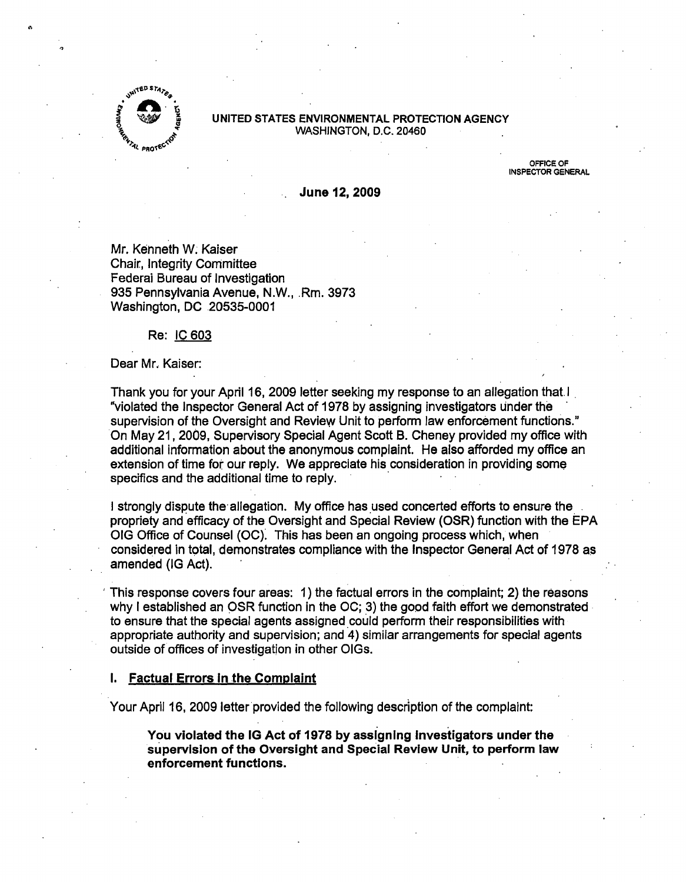

#### UNITED STATES ENVIRONMENTAL PROTECTION AGENCY WASHINGTON, D.C. 20460

OFFICE OF INSPECTOR GENERAL

June 12, 2009

Mr. Kenneth W. Kaiser Chair, Integrity Committee Federai Bureau of Investigation 935 Pennsylvania Avenue, N.W., .Rm. 3973 Washington, DC 20535-0001

#### Re: IC 603

#### Dear Mr. Kaiser:

Thank you for your April 16, 2009 letter seeking my response to an allegation that. I "violated the Inspector General Act of 1978 by assigning investigators under the supervision of the Oversight and Review Unit to perform law enforcement functions." On May 21, 2009, Supervisory Special Agent Scott B. Cheney provided my office with additional information about the anonymous complaint. He also afforded my office an extension of time for our reply. We appreciate his consideration in providing some specifics and the additional time to reply.

I strongly dispute the allegation. My office has used concerted efforts to ensure the. propriety and efficacy of the Oversight and Special Review (OSR) function with the EPA OIG Office of Counsel (OC). This has been an ongoing process which, when considered in total, demonstrates compliance with the Inspector General Act of 1978 as amended (IG Act).

This response covers four areas: 1) the factual errors in the complaint; 2) the reasons why I established an OSR function in the OC; 3) the good faith effort we demonstrated to ensure that the special agents assigned.could perform their responsibilities with appropriate authority and supervision; and 4) similar arrangements for special agents outside of offices of investigation in other OIGs.

# 1. Factual Errors In the Complaint

Your April 16, 2009 letter provided the following description of the complaint:

. . You violated the IG Act of 1978 by assigning Investigators under the supervision of the Oversight and Special Review Unit, to perform law enforcement functions.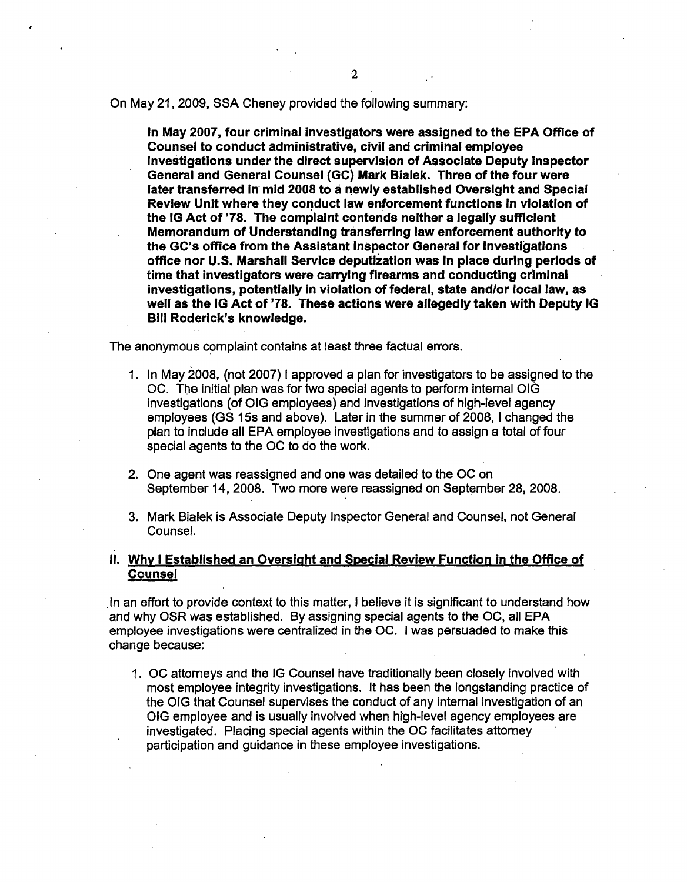On May 21, 2009, SSA Cheney provided the following summary:

In May 2007, four criminal Investigators were assigned to the EPA Office of Counsel to conduct administrative, civil and criminal employee investigations under the direct supervision of Associate Deputy Inspector General and General Counsel {GC) Mark Bialek. Three of the four were later transferred In· mid 2008 to a newly established Oversight and Special Review Unit where they conduct law enforcement functions In violation of the IG Act of '78. The complaint contends neither a legally sufficient Memorandum of Understanding transferring law enforcement authority to the GC's office from the Assistant Inspector General for Investigations office nor U.S. Marshall Service deputlzation was In place during periods of time that investigators were carrying firearms and conducting criminal investigations, potentially in violation of federal, state and/or local law, as well as the IG Act of '78. These actions were allegedly taken with Deputy IG Bill Roderick's knowledge.

The anonymous complaint contains at least three factual errors.

- 1 . In May 2008, (not 2007) I approved a plan for investigators to be assigned to the OC. The initial plan was for two special agents to perform internal OIG investigations (of OIG employees) and investigations of high-level agency employees (GS 15s and above). Later in the summer of 2008, I changed the plan to include all EPA employee investigations and to assign a total of four special agents to the OC to do the work.
- 2. One agent was reassigned and one was detailed to the OC on September 14, 2008. Two more were reassigned on September 28, 2008.
- 3. Mark Bialek is Associate Deputy Inspector General and Counsel, not General Counsel.

# II. Why I Established an Oversight and Special Review Function in the Office of **Counsel**

In an effort to provide context to this matter, I believe it is significant to understand how and why OSR was established. By assigning special agents to the OC, all EPA employee investigations were centralized in the OC. I was persuaded to make this change because:

1. OC attorneys and the IG Counsel have traditionally been closely involved with most employee integrity investigations. It has been the longstanding practice of the OIG that Counsel supervises the conduct of any internal investigation of an OIG employee and is usually involved when high-level agency employees are investigated. Placing special agents within the OC facilitates attorney participation and guidance in these employee investigations.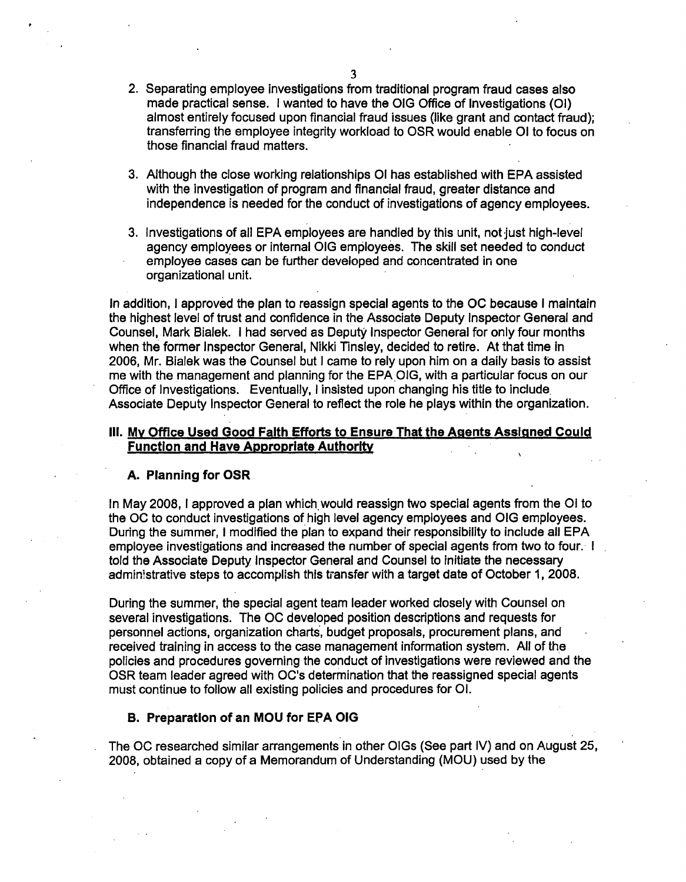- 2. Separating employee investigations from traditional program fraud cases also made practical sense. I wanted to have the OIG Office of Investigations (01) almost entirely focused upon financial fraud issues (like grant and contact fraud); transferring the employee integrity workload to OSR would enable 01 to focus on those financial fraud matters.
- 3. Although the close working relationships 01 has established with EPA assisted with the investigation of program and financial fraud, greater distance and independence is needed for the conduct of investigations of agency employees.
- 3. Investigations of all EPA employees are handled by this unit, not just high-level agency employees or internal OIG employees. The skill set needed to conduct employee cases can be further developed and concentrated in one organizational unit.

In addition, I approved the plan to reassign special agents to the OC because I maintain the highest level of trust and confidence in the Associate Deputy Inspector General and Counsel, Mark Bialek. I had served as Deputy Inspector General for only four months when the former Inspector General, Nikki Tinsley, decided to retire. At that time in 2006, Mr. Bialek was the Counsel but I came to rely upon him on a daily basis to assist me with the management and planning for the EPA.OIG, with a particular focus on our Office of Investigations. Eventually, I insisted upon changing his title to include. Associate Deputy Inspector General to reflect the role he plays within the organization.

# Ill. My Office Used Good Faith Efforts to Ensure That the Agents Assigned Could Function and Have Appropriate Authority

#### A. Planning for OSR

In May 2008, I approved a plan which would reassign two special agents from the OI to the OC to conduct investigations of high level agency employees and OIG employees. During the summer, I modified the plan to expand their responsibility to include all EPA employee investigations and increased the number of special agents from two to four. I told the Associate Deputy Inspector General and Counsel to initiate the necessary administrative steps to accomplish this tiansfer with a target date of October 1, 2008.

During the summer, the special agent team leader worked closely with Counsel on several investigations. The OC developed position descriptions and requests for personnel actions, organization charts, budget proposals, procurement plans, and received training in access to the case management information system. All of the policies and procedures governing the conduct of investigations were reviewed and the OSR team leader agreed with OC's determination that the reassigned special agents must continue to follow all existing policies and procedures for 01.

#### B. Preparation of an MOU for EPA OIG

The OC researched similar arrangements in other OIGs (See part IV) and on August 25, 2008, obtained a copy of a Memorandum of Understanding (MOU) used by the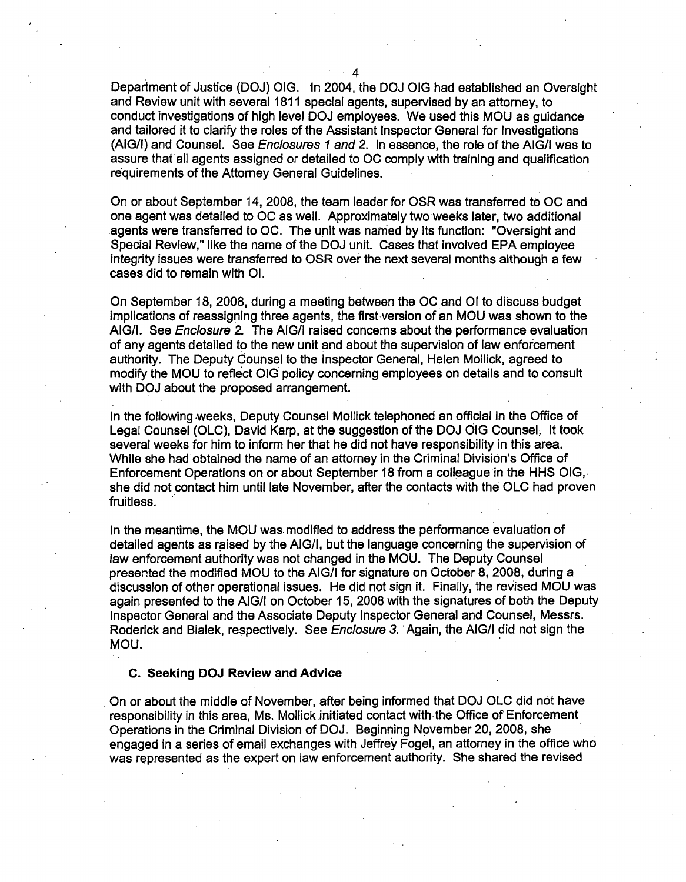Department of Justice (DOJ) OIG. ·In 2004, the DOJ OIG had established an Oversight and Review unit with several 1811 special agents, supervised by an attorney, to conduct investigations of high level DOJ employees. We used this MOU as guidance and tailored it to clarify the roles of the Assistant Inspector General for Investigations (AIG/1) and Counsel. See Enclosures 1 and 2. In essence, the role of the AIG/1 was to assure that all agents assigned or detailed to OC comply with training and qualification requirements of the Attorney General Guidelines.

On or about September 14, 2008, the team leader for OSR was transferred to OC and one agent was detailed to OC as well. Approximately two weeks later, two additional .agents were transferred to OC. The unit was named by its function: "Oversight and Special Review," like the name of the DOJ unit. Cases that involved EPA employee integrity issues were transferred to OSR over the next several months although a few cases did to remain with 01.

On September 18, 2008, during a meeting between the OC and 01 to discuss budget implications of reassigning three agents, the first-version of an MOU was shown to the AIG/1. See Enclosure 2. The AIG/1 raised concerns about the performance evaluation of any agents detailed to the new unit and about the supervision of law enforcement authority. The Deputy Counsel to the Inspector General, Helen Mellick, agreed to modify the MOU to reflect OIG policy concerning employees on details and to consult with DOJ about the proposed arrangement.

In the following weeks, Deputy Counsel Mellick telephoned an official in the Office of Legal Counsel (OLC), David Karp, at the suggestion of the DOJ OIG Counsel, It took several weeks for him to inform her that he did not have responsibility in this area. While she had· obtained the name of an attorney in the Criminal Division's Office of Enforcement Operations on or about September 18 from a colleague in the HHS OIG. she did not contact him until late November, after the contacts with the OLC had proven fruitless.

In the meantime, the MOU was modified to address the performance evaluation of detailed agents as raised by the AIG/I, but the language concerning the supervision of law enforcement authority was not changed in the MOU. The Deputy Counsel presented the modified MOU to the AIG/1 for signature on October 8, 2008, during a discussion of other operational issues. He did not sign it. Finally, the revised MOU was again presented to the AIG/1 on October 15, 2008 with the signatures of both the Deputy Inspector General and the Associate Deputy Inspector General and Counsel, Messrs. Roderick and Bialek, respectively. See Enclosure 3. Again, the AIG/I did not sign the MOU.

#### C. Seeking DOJ Review and Advice

. On or about the middle of November, after being informed that DOJ OLC did not have responsibility in this area, Ms. Mollick initiated contact with the Office of Enforcement Operations in the Criminal Division of DOJ. Beginning November 20, 2008, she · . engaged in a series of email exchanges with Jeffrey Fogel, an attorney in the office who was represented as the expert on law enforcement authority. She shared the revised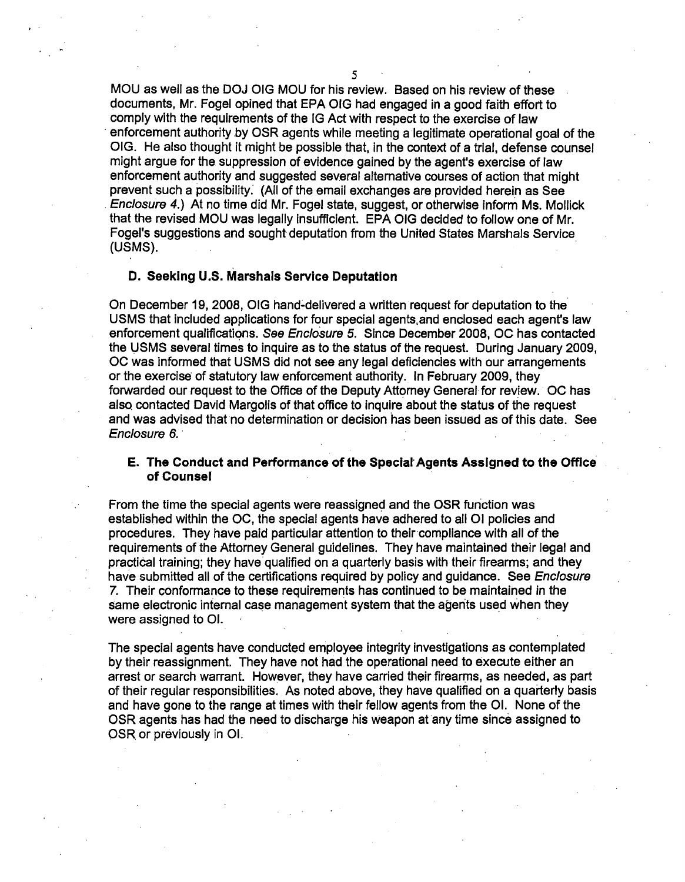MOU as well as the DOJ OIG MOU for his review. Based on his review of these documents, Mr. Fogel opined that EPA OIG had engaged in a good faith effort to comply with the requirements of the IG Act with respect to the exercise of law enforcement authority by OSR agents while meeting a legitimate operational goal of the OIG. He also thought it might be possible that, in the context of a trial, defense counsel might argue for the suppression of evidence gained by the agent's exercise of Jaw enforcement authority and suggested several alternative courses of action that might prevent such a possibility: (All of the email exchanges are provided herein as See . Enclosure 4.) At no time did Mr. Fogel state, suggest, or otherwise inform Ms. Mallick that the revised MOU was legally insufficient. EPA OIG decided to follow one of Mr. Fogel's suggestions and sought deputation from the United States Marshals Service (USMS).

# D. Seeking U.S. Marshals Service Deputation

On December 19, 2008, OIG hand-delivered a written request for deputation to the. USMS that included applications for four special agents.and enclosed each agent's law enforcement qualifications. See Enclosure 5. Since December 2008, OC has contacted the ljSMS several times to inquire as to the status of the request. During January 2009, OC was informed that USMS did not see any legal deficiencies with our arrangements or the exercise of statutory law enforcement authority. In February 2009, they forwarded our request to the Office of the Deputy Attorney General for review. OC has also contacted David Margolis of that office to inquire about the status of the request and was advised that no determination or decision has been issued as of this date. See Enclosure 6.

## E. The Conduct and Performance of the Special· Agents Assigned to the Office of Counsel

From the time the special agents were reassigned and the OSR function was established within the OC, the special agents have adhered to all 01 policies and procedures. They have paid particular attention to their compliance with all of the requirements of the Attorney General guidelines. They have maintained their legal and practical training; they have qualified on a quarterly basis with their firearms; and they have submitted all of the certifications required by policy and guidance. See *Enclosure* 7. Their conformance to these requirements has continued to be maintained in the same electronic internal case management system that the agents used when they were assigned to 01.

The special agents have conducted employee integrity investigations as contemplated by their reassignment. They have not had the operational need to execute either an arrest or search warrant. However, they have carried their firearms, as needed, as part of their regular responsibilities. As noted above, they have qualified on a quarterly basis and have gone to the range at times with their fellow agents from the 01. None of the OSR agents has had the need to discharge his weapon at any time since assigned to OSR. or previously in 01.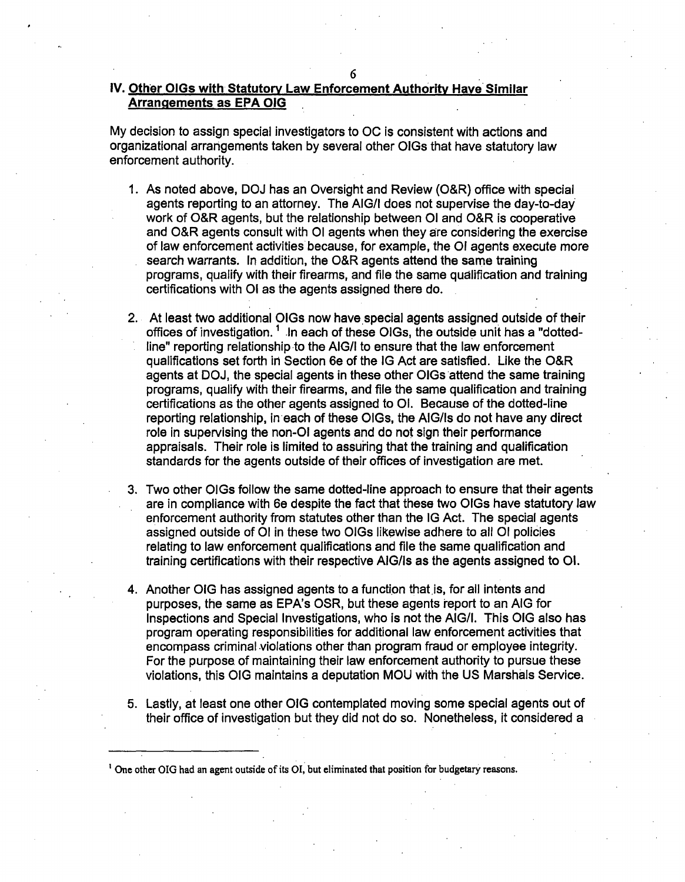# IV. Other OIGs with Statutory Law Enforcement Authority Have Similar Arrangements as EPA OIG

My decision to assign special investigators to OC is consistent with actions and organizational arrangements taken by several other OIGs that have statutory law enforcement authority.

- 1. As noted above, DOJ has an Oversight and Review (O&R) office with special agents reporting to an attorney. The AIG/1 does not supervise the day-to-day work of O&R agents, but the relationship between 01 and O&R is cooperative and O&R agents consult with 01 agents when they are considering the exercise of law enforcement activities because, for example, the OJ agents execute more search warrants. In addition, the O&R agents attend the same training programs, qualify with their firearms, and file the same qualification and training certifications with 01 as the agents assigned there do.
- 2. At least two additional OIGs now have special agents assigned outside of their offices of investigation.<sup>1</sup> In each of these OIGs, the outside unit has a "dottedline" reporting relationship to the AIG/1 to ensure that the law enforcement qualifications set forth in Section 6e of the IG Act are satisfied. Like the O&R agents at DOJ, the special agents in these other OIGs attend the same training programs, qualify with their firearms, and file the same qualification and training certifications as the other agents assigned to 01. Because of the dotted-line reporting relationship, in·each of these OIGs, the AIG/Is do not have any direct role in supervising the non-01 agents and do not sign their performance appraisals. Their role is limited to assuiing that the training and qualification standards for the agents outside of their offices of investigation are met.
- 3. Two other OIGs follow the same dotted-line approach to ensure that their agents are in compliance with 6e despite the fact that these two OIGs have statutory law enforcement authority from statutes other than the IG Act. The special agents assigned outside of 01 in these two OIGs likewise adhere to all 01 policies relating to law enforcement qualifications and file the same qualification and training certifications with their respective AIG/Is as the agents assigned to 01.
- 4. Another OIG has assigned agents to a function that is, for all intents and purposes, the same as EPA's OSR, but these agents report to an AIG for Inspections and Special Investigations, who is not the AIG/1. This OIG also has program operating responsibilities for additional law enforcement activities that encompass criminal violations other than program fraud or employee integrity. For the purpose. of maintaining their law enforcement authority to pursue these violations, this OIG maintains a deputation MOU with the US Marshals Service.
- 5. Lastly, at least one other OIG contemplated moving some special agents out of their office of investigation but they did not do so. Nonetheless, it considered a

<sup>1</sup> One other OIG had an agent outside of its OI, but eliminated that position for budgetary reasons.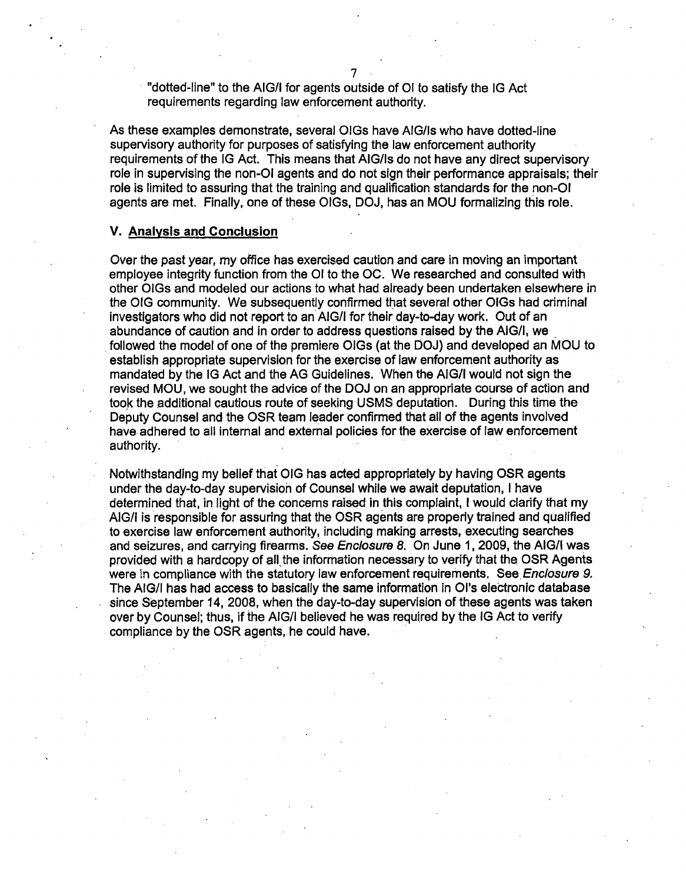"dotted-line" to the AIG/1 for agents outside of 01 to satisfy the IG Act requirements regarding law enforcement authority.

As these examples demonstrate, several OIGs have AIG/Is who have dotted-line supervisory authority for purposes of satisfying the law enforcement authority requirements of the IG Act. This means that AIG/Is do not have any direct supervisory role in supervising the non-01 agents and do not sign their performance appraisals; their role is limited to assuring that the training and qualification standards for the non-01 agents are met. Finally, one of these OIGs, DOJ, has an MOU formalizing this role.

#### **V. Analysis and Conclusion**

Over the past year, my office has exercised caution and care in moving an important employee integrity function from the OI to the OC. We researched and consulted with other OIGs and modeled our actions to what had already been undertaken elsewhere in the OIG community. We subsequently confirmed that several other OIGs had criminal investigators who did not report to an AIG/I for their day-to-day work. Out of an abundance of caution and in order to address questions raised by the AIG/1, we . . followed the model of one of the premiere OIGs (at the OOJ) and developed an MOU to establish appropriate supervision for the exercise of law enforcement authority as mandated by the IG Act and the AG Guidelines. When the AIG/1 would not sign the revised MOU, we sought the advice of the DOJ on an appropriate course of action and took the additional cautious route of seeking USMS deputation. During this time the Deputy Counsel and the OSR team leader confirmed that all of the agents involved have. adhered to all internal and external policies for the exercise of law enforcement authority.

Notwithstanding my belief that OIG has acted appropriately by having OSR agents under the day-to-day supervision of Counsel while we await deputation, I have determined that, in light of the concerns raised in this complaint, I would clarify that my AIG/1 is responsible for assuring that the OSR agents are properly trained and qualified to exercise law enforcement authority, including making arrests, executing searches and seizures, and carrying firearms. See Enclosure 8. On June 1, 2009, the AIG/1 was provided with a hardcopy of all the information necessary to verify that the OSR Agents were in compliance with the statutory law enforcement requirements. See *Enclosure 9.* The AIG/1 has had access to basically the same information in Ol's electronic database since September 14, 2008, when the day-to-day supervision of these agents was taken over by Counsel; thus, if the AIG/I believed he was required by the IG Act to verify compliance by the OSR agents, he could have.